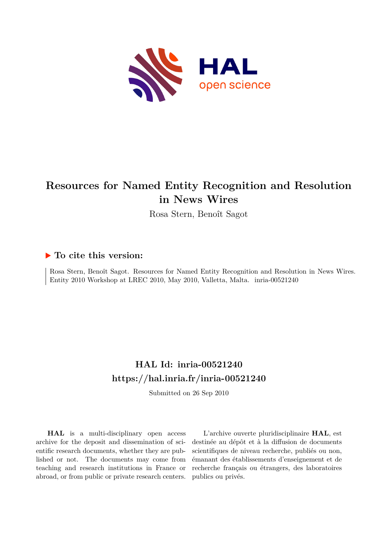

# **Resources for Named Entity Recognition and Resolution in News Wires**

Rosa Stern, Benoît Sagot

## **To cite this version:**

Rosa Stern, Benoît Sagot. Resources for Named Entity Recognition and Resolution in News Wires. Entity 2010 Workshop at LREC 2010, May 2010, Valletta, Malta. inria-00521240

## **HAL Id: inria-00521240 <https://hal.inria.fr/inria-00521240>**

Submitted on 26 Sep 2010

**HAL** is a multi-disciplinary open access archive for the deposit and dissemination of scientific research documents, whether they are published or not. The documents may come from teaching and research institutions in France or abroad, or from public or private research centers.

L'archive ouverte pluridisciplinaire **HAL**, est destinée au dépôt et à la diffusion de documents scientifiques de niveau recherche, publiés ou non, émanant des établissements d'enseignement et de recherche français ou étrangers, des laboratoires publics ou privés.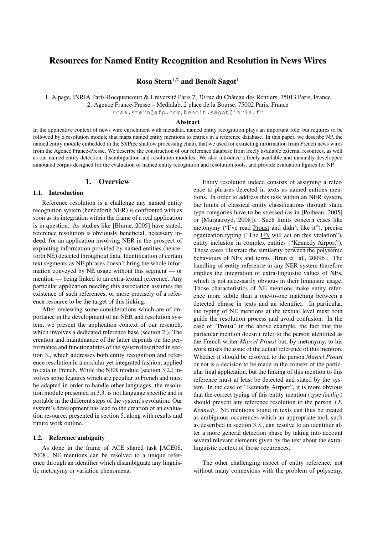## Resources for Named Entity Recognition and Resolution in News Wires

Rosa Stern<sup>1,2</sup> and Benoît Sagot<sup>1</sup>

1. Alpage, INRIA Paris-Rocquencourt & Université Paris 7, 30 rue du Château des Rentiers, 75013 Paris, France

2. Agence France-Presse – Medialab, 2 place de la Bourse, 75002 Paris, France

rosa.stern@afp.com, benoit.sagot@inria.fr

### Abstract

In the applicative context of news wire enrichment with metadata, named entity recognition plays an important role, but requires to be followed by a resolution module that maps named entity mentions to entries in a reference database. In this paper, we describe NP, the named entity module embedded in the SXPipe shallow processing chain, that we used for extracting information from French news wires from the Agence France-Presse. We describe the construction of our reference database from freely available external resources, as well as our named entity detection, disambiguation and resolution modules. We also introduce a freely available and manually developped annotated corpus designed for the evaluation of named entity recognition and resolution tools, and provide evaluation figures for NP.

## 1. Overview

## 1.1. Introduction

Reference resolution is a challenge any named entity recognition system (henceforth NER) is confronted with as soon as its integration within the frame of a real application is in question. As studies like [Blume, 2005] have stated, reference resolution is obviously beneficial, necessary indeed, for an application involving NER in the prospect of exploiting information provided by named entities (henceforth NE) detected throughout data. Identification of certain text segments as NE phrases doesn't bring the whole information conveyed by NE usage without this segment — or mention — being linked to an extra-textual reference. Any particular application needing this association assumes the existence of such references, or more precisely of a reference resource to be the target of this linking.

After reviewing some considerations which are of importance in the development of an NER and resolution system, we present the application context of our research, which involves a dedicated reference base (section 2.). The creation and maintenance of the latter depends on the performance and functionalities of the system described in section 3., which addresses both entity recognition and reference resolution in a modular yet integrated fashion, applied to data in French. While the NER module (section 3.2.) involves some features which are peculiar to French and must be adapted in order to handle other languages, the resolution module presented in 3.3. is not language specific and is portable in the different steps of the system's evolution. Our system's development has lead to the creation of an evaluation resource, presented in section 5. along with results and future work outline.

### 1.2. Reference ambiguity

As done in the frame of ACE shared task [ACE08, 2008], NE mentions can be resolved to a unique reference through an identifier which disambiguate any linguistic metonymy or variation phenomena.

Entity resolution indeed consists of assigning a reference to phrases detected in texts as named entities mentions. In order to address this task within an NER system, the limits of classical entity classifications through static type categories have to be stressed (as in [Poibeau, 2005] or [Murgatroyd, 2008]). Such limits concern cases like metonymy ("I've read Proust and didn't like it"), precise oganization typing ("The UN will act on this violation"), entity inclusion in complex entities ("Kennedy Airport"). These cases illustrate the similarity between the polysemic behaviours of NEs and terms [Brun et al., 2009b]. The handling of entity reference in any NER system therefore implies the integration of extra-linguistic values of NEs, which is not necessarily obvious in their linguistic usage. Those characteristics of NE mentions make entity reference more subtle than a one-to-one matching between a detected phrase in texts and an identifier. In particular, the typing of NE mentions at the textual level must both guide the resolution process and avoid confusion. In the case of "Proust" in the above example, the fact that this particular mention doesn't refer to the person identified as the French writer *Marcel Proust* but, by metonymy, to his work raises the issue of the actual reference of this mention. Whether it should be resolved to the person *Marcel Proust* or not is a decision to be made in the context of the particular final application, but the linking of this mention to this reference must at least be detected and stated by the system. In the case of "Kennedy Airport", it is more obvious that the correct typing of this entity mention (type *facility*) should prevent any reference resolution to the person *J.F. Kennedy*. NE mentions found in texts can thus be treated as ambiguous occurences which an appropriate tool, such as described in section 3.3., can resolve to an identifier after a more general detection phase by taking into account several relevant elements given by the text about the extralinguistic context of those occurences.

The other challenging aspect of entity reference, not without many connexions with the problem of polysemy,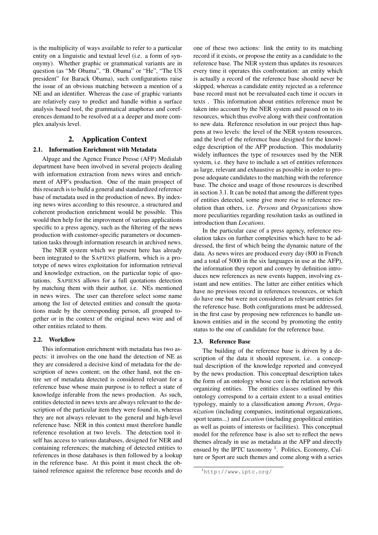is the multiplicity of ways available to refer to a particular entity on a linguistic and textual level (i.e. a form of synonymy). Whether graphic or grammatical variants are in question (as "Mr Obama", "B. Obama" or "He", "The US president" for Barack Obama), such configurations raise the issue of an obvious matching between a mention of a NE and an identifier. Whereas the case of graphic variants are relatively easy to predict and handle within a surface analysis based tool, the grammatical anaphoras and coreferences demand to be resolved at a a deeper and more complex analysis level.

## 2. Application Context

## 2.1. Information Enrichment with Metadata

Alpage and the Agence France Presse (AFP) Medialab department have been involved in several projects dealing with information extraction from news wires and enrichment of AFP's production. One of the main prospect of this research is to build a general and standardized reference base of metadata used in the production of news. By indexing news wires according to this resource, a structured and coherent production enrichment would be possible. This would then help for the improvment of various applications specific to a press agency, such as the filtering of the news production with customer-specific parameters or documentation tasks through information research in archived news.

The NER system which we present here has already been integrated to the SAPIENS platform, which is a prototype of news wires exploitation for information retrieval and knowledge extraction, on the particular topic of quotations. SAPIENS allows for a full quotations detection by matching them with their author, i.e. NEs mentioned in news wires. The user can therefore select some name among the list of detected entities and consult the quotations made by the corresponding person, all grouped together or in the context of the original news wire and of other entities related to them.

## 2.2. Workflow

This information enrichment with metadata has two aspects: it involves on the one hand the detection of NE as they are considered a decisive kind of metadata for the description of news content; on the other hand, not the entire set of metadata detected is considered relevant for a reference base whose main purpose is to reflect a state of knowledge inferable from the news production. As such, entities detected in news texts are always relevant to the description of the particular item they were found in, whereas they are not always relevant to the general and high-level reference base. NER in this context must therefore handle reference resolution at two levels. The detection tool itself has access to various databases, designed for NER and containing references; the matching of detected entities to references in those databases is then followed by a lookup in the reference base. At this point it must check the obtained reference against the reference base records and do one of these two actions: link the entity to its matching record if it exists, or propose the entity as a candidate to the reference base. The NER system thus updates its resources every time it operates this confrontation: an entity which is actually a record of the reference base should never be skipped, whereas a candidate entity rejected as a reference base record must not be reevaluated each time it occurs in texts . This information about entities reference must be taken into account by the NER system and passed on to its resources, which thus evolve along with their confrontation to new data. Reference resolution in our project thus happens at two levels: the level of the NER system resources, and the level of the reference base designed for the knowledge description of the AFP production. This modularity widely influences the type of resources used by the NER system, i.e. they have to include a set of entities references as large, relevant and exhaustive as possible in order to propose adequate candidates to the matching with the reference base. The choice and usage of those resources is described in section 3.1. It can be noted that among the different types of entities detected, some give more rise to reference resolution than others, i.e. *Persons* and *Organizations* show more peculiarities regarding resolution tasks as outlined in introduction than *Locations*.

In the particular case of a press agency, reference resolution takes on further complexities which have to be addressed, the first of which being the dynamic nature of the data. As news wires are produced every day (800 in French and a total of 5000 in the six languages in use at the AFP), the information they report and convey by definition introduces new references as new events happen, involving existant and new entities. The latter are either entities which have no previous record in references resources, or which do have one but were not considered as relevant entries for the reference base. Both configurations must be addressed, in the first case by proposing new references to handle unknown entities and in the second by promoting the entity status to the one of candidate for the reference base.

#### 2.3. Reference Base

The building of the reference base is driven by a description of the data it should represent, i.e. a conceptual description of the knowledge reported and conveyed by the news production. This conceptual description takes the form of an ontology whose core is the relation network organizing entities. The entities classes outlined by this ontology correspond to a certain extent to a usual entities typology, mainly to a classification among *Person*, *Organization* (including companies, institutional organizations, sport teams...) and *Location* (including geopolitical entities as well as points of interests or facilities). This conceptual model for the reference base is also set to reflect the news themes already in use as metadata at the AFP and directly ensued by the IPTC taxonomy  $<sup>1</sup>$ . Politics, Economy, Cul-</sup> ture or Sport are such themes and come along with a series

<sup>1</sup>http://www.iptc.org/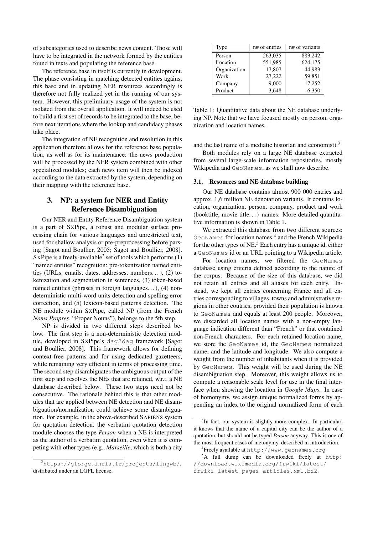of subcategories used to describe news content. Those will have to be integrated in the network formed by the entities found in texts and populating the reference base.

The reference base in itself is currently in development. The phase consisting in matching detected entities against this base and in updating NER resources accordingly is therefore not fully realized yet in the running of our system. However, this preliminary usage of the system is not isolated from the overall application. It will indeed be used to build a first set of records to be integrated to the base, before next iterations where the lookup and candidacy phases take place.

The integration of NE recognition and resolution in this application therefore allows for the reference base population, as well as for its maintenance: the news production will be processed by the NER system combined with other specialized modules; each news item will then be indexed according to the data extracted by the system, depending on their mapping with the reference base.

## 3. NP: a system for NER and Entity Reference Disambiguation

Our NER and Entity Reference Disambiguation system is a part of SXPipe, a robust and modular surface processing chain for various languages and unrestricted text, used for shallow analysis or pre-preprocessing before parsing [Sagot and Boullier, 2005; Sagot and Boullier, 2008]. SXPipe is a freely-available<sup>2</sup> set of tools which performs  $(1)$ "named entities" recognition: pre-tokenization named entities (URLs, emails, dates, addresses, numbers. . . ), (2) tokenization and segmentation in sentences, (3) token-based named entities (phrases in foreign languages. . . ), (4) nondeterministic multi-word units detection and spelling error correction, and (5) lexicon-based patterns detection. The NE module within SXPipe, called NP (from the French *Noms Propres*, "Proper Nouns"), belongs to the 5th step.

NP is divided in two different steps described below. The first step is a non-deterministic detection module, developed in SXPipe's dag2dag framework [Sagot and Boullier, 2008]. This framework allows for defining context-free patterns and for using dedicated gazetteers, while remaining very efficient in terms of processing time. The second step disambiguates the ambiguous output of the first step and resolves the NEs that are retained, w.r.t. a NE database described below. These two steps need not be consecutive. The rationale behind this is that other modules that are applied between NE detection and NE disambiguation/normalization could achieve some disambiguation. For example, in the above-described SAPIENS system for quotation detection, the verbatim quotation detection module chooses the type *Person* when a NE is interpreted as the author of a verbatim quotation, even when it is competing with other types (e.g., *Marseille*, which is both a city

<sup>2</sup>https://gforge.inria.fr/projects/lingwb/, distributed under an LGPL license.

| Type         | n# of entries | n# of variants |
|--------------|---------------|----------------|
| Person       | 263,035       | 883,242        |
| Location     | 551,985       | 624,175        |
| Organization | 17,807        | 44.983         |
| Work         | 27,222        | 59,851         |
| Company      | 9,000         | 17,252         |
| Product      | 3,648         | 6,350          |

Table 1: Quantitative data about the NE database underlying NP. Note that we have focused mostly on person, organization and location names.

and the last name of a mediatic historian and economist).<sup>3</sup>

Both modules rely on a large NE database extracted from several large-scale information repositories, mostly Wikipedia and GeoNames, as we shall now describe.

## 3.1. Resources and NE database building

Our NE database contains almost 900 000 entries and approx. 1,6 million NE denotation variants. It contains location, organization, person, company, product and work (booktitle, movie title. . . ) names. More detailed quantitative information is shown in Table 1.

We extracted this database from two different sources: GeoNames for location names,<sup>4</sup> and the French Wikipedia for the other types of NE.<sup>5</sup> Each entry has a unique id, either a GeoNames id or an URL pointing to a Wikipedia article.

For location names, we filtered the GeoNames database using criteria defined according to the nature of the corpus. Because of the size of this database, we did not retain all entries and all aliases for each entry. Instead, we kept all entries concerning France and all entries corresponding to villages, towns and administrative regions in other coutries, provided their population is known to GeoNames and equals at least 200 people. Moreover, we discarded all location names with a non-empty language indication different than "French" or that contained non-French characters. For each retained location name, we store the GeoNames id, the GeoNames normalized name, and the latitude and longitude. We also compute a weight from the number of inhabitants when it is provided by GeoNames. This weight will be used during the NE disambiguation step. Moreover, this weight allows us to compute a reasonable scale level for use in the final interface when showing the location in *Google Maps*. In case of homonymy, we assign unique normalized forms by appending an index to the original normalized form of each

<sup>&</sup>lt;sup>3</sup>In fact, our system is slightly more complex. In particular, it knows that the name of a capital city can be the author of a quotation, but should not be typed *Person* anyway. This is one of the most frequent cases of metonymy, described in introduction.

<sup>4</sup> Freely available at http://www.geonames.org

<sup>&</sup>lt;sup>5</sup>A full dump can be downloaded freely at http: //download.wikimedia.org/frwiki/latest/ frwiki-latest-pages-articles.xml.bz2.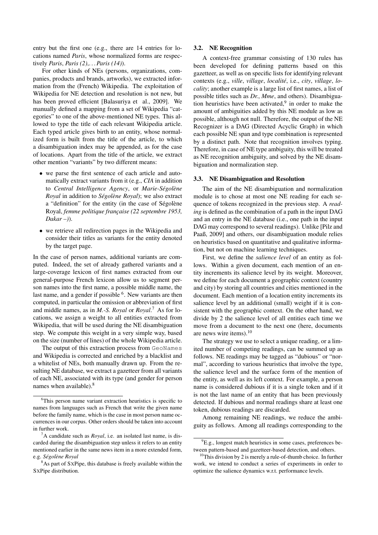entry but the first one (e.g., there are 14 entries for locations named *Paris*, whose normalized forms are respectively *Paris*, *Paris (2)*,. . .*Paris (14)*).

For other kinds of NEs (persons, organizations, companies, products and brands, artworks), we extracted information from the (French) Wikipedia. The exploitation of Wikipedia for NE detection and resolution is not new, but has been proved efficient [Balasuriya et al., 2009]. We manually defined a mapping from a set of Wikipedia "categories" to one of the above-mentioned NE types. This allowed to type the title of each relevant Wikipedia article. Each typed article gives birth to an entity, whose normalized form is built from the title of the article, to which a disambiguation index may be appended, as for the case of locations. Apart from the title of the article, we extract other mention "variants" by two different means:

- we parse the first sentence of each article and automatically extract variants from it (e.g., *CIA* in addition to *Central Intelligence Agency*, or *Marie-Ségolène Royal* in addition to *Ségolène Royal*); we also extract a "definition" for the entity (in the case of Ségolène Royal, *femme politique française (22 septembre 1953, Dakar –)*).
- we retrieve all redirection pages in the Wikipedia and consider their titles as variants for the entity denoted by the target page.

In the case of person names, additional variants are computed. Indeed, the set of already gathered variants and a large-coverage lexicon of first names extracted from our general-purpose French lexicon allow us to segment person names into the first name, a possible middle name, the last name, and a gender if possible <sup>6</sup>. New variants are then computed, in particular the omission or abbreviation of first and middle names, as in *M.-S. Royal* or *Royal*. <sup>7</sup> As for locations, we assign a weight to all entities extracted from Wikipedia, that will be used during the NE disambiguation step. We compute this weight in a very simple way, based on the size (number of lines) of the whole Wikipedia article.

The output of this extraction process from GeoNames and Wikipedia is corrected and enriched by a blacklist and a whitelist of NEs, both manually drawn up. From the resulting NE database, we extract a gazetteer from all variants of each NE, associated with its type (and gender for person names when available).<sup>8</sup>

### 3.2. NE Recognition

A context-free grammar consisting of 130 rules has been developed for defining patterns based on this gazetteer, as well as on specific lists for identifying relevant contexts (e.g., *ville*, *village*, *localite´*, i.e., *city*, *village*, *locality*; another example is a large list of first names, a list of possible titles such as *Dr.*, *Mme*, and others). Disambiguation heuristics have been activated, $9$  in order to make the amount of ambiguities added by this NE module as low as possible, although not null. Therefore, the output of the NE Recognizer is a DAG (Directed Acyclic Graph) in which each possible NE span and type combination is represented by a distinct path. Note that recognition involves typing. Therefore, in case of NE type ambiguity, this will be treated as NE recognition ambiguity, and solved by the NE disambiguation and normalization step.

## 3.3. NE Disambiguation and Resolution

The aim of the NE disambiguation and normalization module is to chose at most one NE reading for each sequence of tokens recognized in the previous step. A *reading* is defined as the combination of a path in the input DAG and an entry in the NE database (i.e., one path in the input DAG may correspond to several readings). Unlike [Pilz and Paaß, 2009] and others, our disambiguation module relies on heuristics based on quantitative and qualitative information, but not on machine learning techniques.

First, we define the *salience level* of an entity as follows. Within a given document, each mention of an entity increments its salience level by its weight. Moreover, we define for each document a geographic context (country and city) by storing all countries and cities mentioned in the document. Each mention of a location entity increments its salience level by an additional (small) weight if it is consistent with the geographic context. On the other hand, we divide by 2 the salience level of all entities each time we move from a document to the next one (here, documents are news wire items). $10$ 

The strategy we use to select a unique reading, or a limited number of competing readings, can be summed up as follows. NE readings may be tagged as "dubious" or "normal", according to various heuristics that involve the type, the salience level and the surface form of the mention of the entity, as well as its left context. For example, a person name is considered dubious if it is a single token and if it is not the last name of an entity that has been previously detected. If dubious and normal readings share at least one token, dubious readings are discarded.

Among remaining NE readings, we reduce the ambiguity as follows. Among all readings corresponding to the

<sup>6</sup>This person name variant extraction heuristics is specific to names from languages such as French that write the given name before the family name, which is the case in most person name occurrences in our corpus. Other orders should be taken into account in further work.

<sup>7</sup>A candidate such as *Royal*, i.e. an isolated last name, is discarded during the disambiguation step unless it refers to an entity mentioned earlier in the same news item in a more extended form, e.g. *Segol ´ ene Royal `*

<sup>&</sup>lt;sup>8</sup>As part of SXPipe, this database is freely available within the SXPipe distribution.

 ${}^{9}E.g.,$  longest match heuristics in some cases, preferences between pattern-based and gazetteer-based detection, and others.

 $10$ This division by 2 is merely a rule-of-thumb choice. In further work, we intend to conduct a series of experiments in order to optimize the salience dynamics w.r.t. performance levels.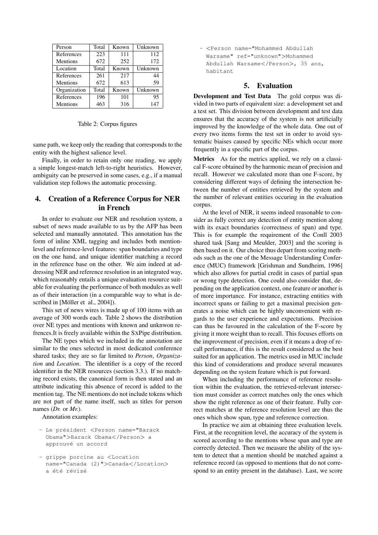| Person          | Total | Known | Unknown |
|-----------------|-------|-------|---------|
| References      | 223   | 111   | 112     |
| <b>Mentions</b> | 672   | 252   | 172     |
| Location        | Total | Known | Unknown |
| References      | 261   | 217   | 44      |
| <b>Mentions</b> | 672   | 613   | 59      |
| Organization    | Total | Known | Unknown |
| References      | 196   | 101   | 95      |
| Mentions        | 463   | 316   | 147     |

### Table 2: Corpus figures

same path, we keep only the reading that corresponds to the entity with the highest salience level.

Finally, in order to retain only one reading, we apply a simple longest-match left-to-right heuristics. However, ambiguity can be preserved in some cases, e.g., if a manual validation step follows the automatic processing.

## 4. Creation of a Reference Corpus for NER in French

In order to evaluate our NER and resolution system, a subset of news made available to us by the AFP has been selected and manually annotated. This annotation has the form of inline XML tagging and includes both mentionlevel and reference-level features: span boundaries and type on the one hand, and unique identifier matching a record in the reference base on the other. We aim indeed at addressing NER and reference resolution in an integrated way, which reasonably entails a unique evaluation resource suitable for evaluating the performance of both modules as well as of their interaction (in a comparable way to what is described in [Möller et al., 2004]).

This set of news wires is made up of 100 items with an average of 300 words each. Table 2 shows the distribution over NE types and mentions with known and unknwon refrences.It is freely available within the SXPipe distribution.

The NE types which we included in the annotation are similar to the ones selected in most dedicated conference shared tasks; they are so far limited to *Person*, *Organization* and *Location*. The identifier is a copy of the record identifier in the NER resources (section 3.3.). If no matching record exists, the canonical form is then stated and an attribute indicating this absence of record is added to the mention tag. The NE mentions do not include tokens which are not part of the name itself, such as titles for person names (*Dr.* or *Mr.*).

Annotation examples:

- Le président <Person name="Barack Obama">Barack Obama</Person> a approuvé un accord
- grippe porcine au <Location name="Canada (2)">Canada</Location> a été révisé

- <Person name="Mohammed Abdullah Warsame" ref="unknown">Mohammed Abdullah Warsame</Person>, 35 ans, habitant

## 5. Evaluation

Development and Test Data The gold corpus was divided in two parts of equivalent size: a development set and a test set. This division between development and test data ensures that the accuracy of the system is not artificially improved by the knowledge of the whole data. One out of every two items forms the test set in order to avoid systematic biaises caused by specific NEs which occur more frequently in a specific part of the corpus.

Metrics As for the metrics applied, we rely on a classical F-score obtained by the harmonic mean of precision and recall. However we calculated more than one F-score, by considering different ways of defining the intersection between the number of entities retrieved by the system and the number of relevant entities occuring in the evaluation corpus.

At the level of NER, it seems indeed reasonable to consider as fully correct any detection of entity mention along with its exact boundaries (correctness of span) and type. This is for example the requirement of the Conll 2003 shared task [Sang and Meulder, 2003] and the scoring is then based on it. Our choice thus depart from scoring methods such as the one of the Message Understanding Conference (MUC) framework [Grishman and Sundheim, 1996] which also allows for partial credit in cases of partial span or wrong type detection. One could also consider that, depending on the application context, one feature or another is of more importance. For instance, extracting entities with incorrect spans or failing to get a maximal precision generates a noise which can be highly unconvenient with regards to the user experience and expectations. Precision can thus be favoured in the calculation of the F-score by giving it more weight than to recall. This focuses efforts on the improvement of precision, even if it means a drop of recall performance, if this is the result considered as the best suited for an application. The metrics used in MUC include this kind of considerations and produce several measures depending on the system feature which is put forward.

When including the performance of reference resolution within the evaluation, the retrieved-relevant intersection must consider as correct matches only the ones which show the right reference as one of their feature. Fully correct matches at the reference resolution level are thus the ones which show span, type and reference correction.

In practice we aim at obtaining three evaluation levels. First, at the recognition level, the accuracy of the system is scored according to the mentions whose span and type are correctly detected. Then we measure the ability of the system to detect that a mention should be matched against a reference record (as opposed to mentions that do not correspond to an entity present in the database). Last, we score